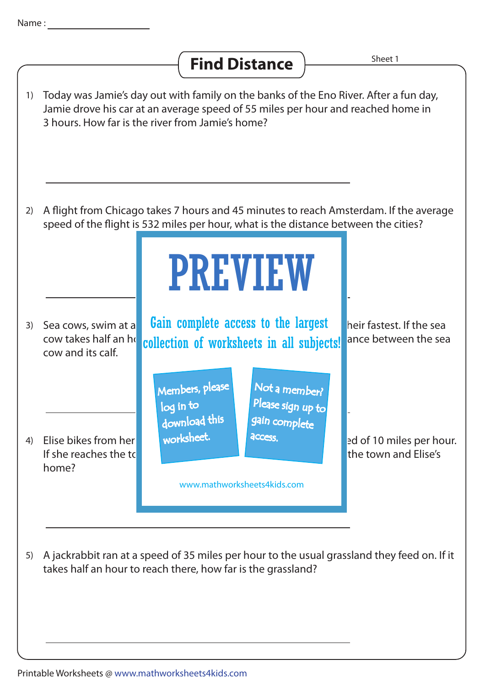## **Find Distance**  $\frac{Sheet1}{Sset2}$